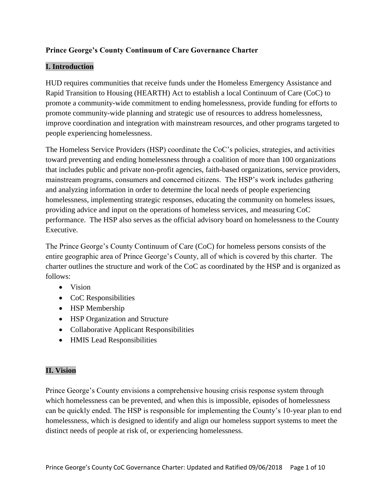# **Prince George's County Continuum of Care Governance Charter**

# **I. Introduction**

HUD requires communities that receive funds under the Homeless Emergency Assistance and Rapid Transition to Housing (HEARTH) Act to establish a local Continuum of Care (CoC) to promote a community-wide commitment to ending homelessness, provide funding for efforts to promote community-wide planning and strategic use of resources to address homelessness, improve coordination and integration with mainstream resources, and other programs targeted to people experiencing homelessness.

The Homeless Service Providers (HSP) coordinate the CoC's policies, strategies, and activities toward preventing and ending homelessness through a coalition of more than 100 organizations that includes public and private non-profit agencies, faith-based organizations, service providers, mainstream programs, consumers and concerned citizens. The HSP's work includes gathering and analyzing information in order to determine the local needs of people experiencing homelessness, implementing strategic responses, educating the community on homeless issues, providing advice and input on the operations of homeless services, and measuring CoC performance. The HSP also serves as the official advisory board on homelessness to the County Executive.

The Prince George's County Continuum of Care (CoC) for homeless persons consists of the entire geographic area of Prince George's County, all of which is covered by this charter. The charter outlines the structure and work of the CoC as coordinated by the HSP and is organized as follows:

- Vision
- CoC Responsibilities
- HSP Membership
- HSP Organization and Structure
- Collaborative Applicant Responsibilities
- HMIS Lead Responsibilities

# **II. Vision**

Prince George's County envisions a comprehensive housing crisis response system through which homelessness can be prevented, and when this is impossible, episodes of homelessness can be quickly ended. The HSP is responsible for implementing the County's 10-year plan to end homelessness, which is designed to identify and align our homeless support systems to meet the distinct needs of people at risk of, or experiencing homelessness.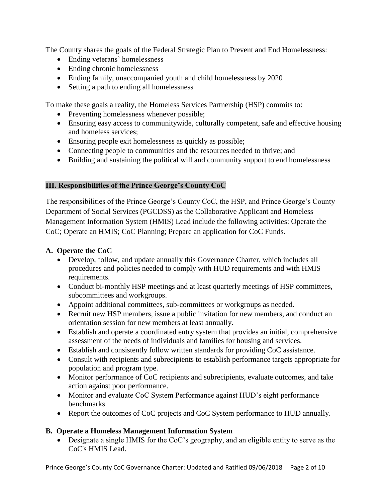The County shares the goals of the Federal Strategic Plan to Prevent and End Homelessness:

- Ending veterans' homelessness
- Ending chronic homelessness
- Ending family, unaccompanied youth and child homelessness by 2020
- Setting a path to ending all homelessness

To make these goals a reality, the Homeless Services Partnership (HSP) commits to:

- Preventing homelessness whenever possible;
- Ensuring easy access to communitywide, culturally competent, safe and effective housing and homeless services;
- Ensuring people exit homelessness as quickly as possible;
- Connecting people to communities and the resources needed to thrive; and
- Building and sustaining the political will and community support to end homelessness

### **III. Responsibilities of the Prince George's County CoC**

The responsibilities of the Prince George's County CoC, the HSP, and Prince George's County Department of Social Services (PGCDSS) as the Collaborative Applicant and Homeless Management Information System (HMIS) Lead include the following activities: Operate the CoC; Operate an HMIS; CoC Planning; Prepare an application for CoC Funds.

### **A. Operate the CoC**

- Develop, follow, and update annually this Governance Charter, which includes all procedures and policies needed to comply with HUD requirements and with HMIS requirements.
- Conduct bi-monthly HSP meetings and at least quarterly meetings of HSP committees, subcommittees and workgroups.
- Appoint additional committees, sub-committees or workgroups as needed.
- Recruit new HSP members, issue a public invitation for new members, and conduct an orientation session for new members at least annually.
- Establish and operate a coordinated entry system that provides an initial, comprehensive assessment of the needs of individuals and families for housing and services.
- Establish and consistently follow written standards for providing CoC assistance.
- Consult with recipients and subrecipients to establish performance targets appropriate for population and program type.
- Monitor performance of CoC recipients and subrecipients, evaluate outcomes, and take action against poor performance.
- Monitor and evaluate CoC System Performance against HUD's eight performance benchmarks
- Report the outcomes of CoC projects and CoC System performance to HUD annually.

#### **B. Operate a Homeless Management Information System**

 Designate a single HMIS for the CoC's geography, and an eligible entity to serve as the CoC's HMIS Lead.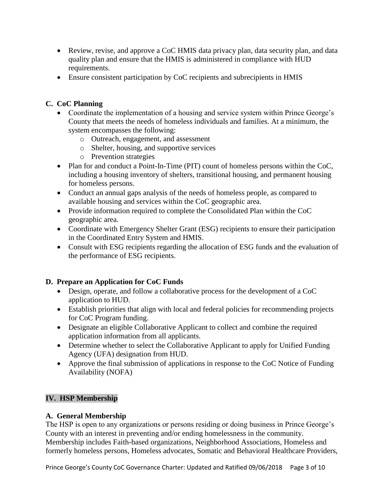- Review, revise, and approve a CoC HMIS data privacy plan, data security plan, and data quality plan and ensure that the HMIS is administered in compliance with HUD requirements.
- Ensure consistent participation by CoC recipients and subrecipients in HMIS

# **C. CoC Planning**

- Coordinate the implementation of a housing and service system within Prince George's County that meets the needs of homeless individuals and families. At a minimum, the system encompasses the following:
	- o Outreach, engagement, and assessment
	- o Shelter, housing, and supportive services
	- o Prevention strategies
- Plan for and conduct a Point-In-Time (PIT) count of homeless persons within the CoC, including a housing inventory of shelters, transitional housing, and permanent housing for homeless persons.
- Conduct an annual gaps analysis of the needs of homeless people, as compared to available housing and services within the CoC geographic area.
- Provide information required to complete the Consolidated Plan within the CoC geographic area.
- Coordinate with Emergency Shelter Grant (ESG) recipients to ensure their participation in the Coordinated Entry System and HMIS.
- Consult with ESG recipients regarding the allocation of ESG funds and the evaluation of the performance of ESG recipients.

# **D. Prepare an Application for CoC Funds**

- Design, operate, and follow a collaborative process for the development of a CoC application to HUD.
- Establish priorities that align with local and federal policies for recommending projects for CoC Program funding.
- Designate an eligible Collaborative Applicant to collect and combine the required application information from all applicants.
- Determine whether to select the Collaborative Applicant to apply for Unified Funding Agency (UFA) designation from HUD.
- Approve the final submission of applications in response to the CoC Notice of Funding Availability (NOFA)

# **IV. HSP Membership**

#### **A. General Membership**

The HSP is open to any organizations or persons residing or doing business in Prince George's County with an interest in preventing and/or ending homelessness in the community. Membership includes Faith-based organizations, Neighborhood Associations, Homeless and formerly homeless persons, Homeless advocates, Somatic and Behavioral Healthcare Providers,

Prince George's County CoC Governance Charter: Updated and Ratified 09/06/2018 Page 3 of 10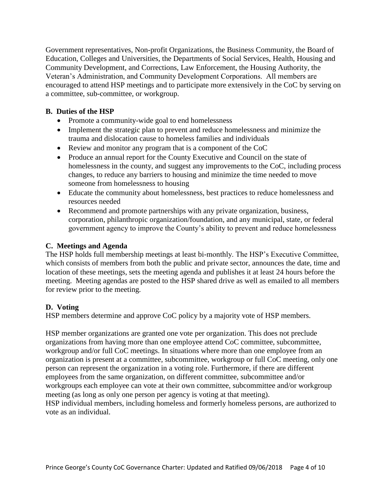Government representatives, Non-profit Organizations, the Business Community, the Board of Education, Colleges and Universities, the Departments of Social Services, Health, Housing and Community Development, and Corrections, Law Enforcement, the Housing Authority, the Veteran's Administration, and Community Development Corporations. All members are encouraged to attend HSP meetings and to participate more extensively in the CoC by serving on a committee, sub-committee, or workgroup.

#### **B. Duties of the HSP**

- Promote a community-wide goal to end homelessness
- Implement the strategic plan to prevent and reduce homelessness and minimize the trauma and dislocation cause to homeless families and individuals
- Review and monitor any program that is a component of the CoC
- Produce an annual report for the County Executive and Council on the state of homelessness in the county, and suggest any improvements to the CoC, including process changes, to reduce any barriers to housing and minimize the time needed to move someone from homelessness to housing
- Educate the community about homelessness, best practices to reduce homelessness and resources needed
- Recommend and promote partnerships with any private organization, business, corporation, philanthropic organization/foundation, and any municipal, state, or federal government agency to improve the County's ability to prevent and reduce homelessness

### **C. Meetings and Agenda**

The HSP holds full membership meetings at least bi-monthly. The HSP's Executive Committee, which consists of members from both the public and private sector, announces the date, time and location of these meetings, sets the meeting agenda and publishes it at least 24 hours before the meeting. Meeting agendas are posted to the HSP shared drive as well as emailed to all members for review prior to the meeting.

#### **D. Voting**

HSP members determine and approve CoC policy by a majority vote of HSP members.

HSP member organizations are granted one vote per organization. This does not preclude organizations from having more than one employee attend CoC committee, subcommittee, workgroup and/or full CoC meetings. In situations where more than one employee from an organization is present at a committee, subcommittee, workgroup or full CoC meeting, only one person can represent the organization in a voting role. Furthermore, if there are different employees from the same organization, on different committee, subcommittee and/or workgroups each employee can vote at their own committee, subcommittee and/or workgroup meeting (as long as only one person per agency is voting at that meeting). HSP individual members, including homeless and formerly homeless persons, are authorized to vote as an individual.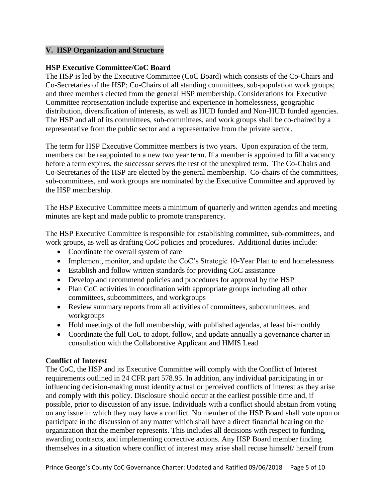#### **V. HSP Organization and Structure**

#### **HSP Executive Committee/CoC Board**

The HSP is led by the Executive Committee (CoC Board) which consists of the Co-Chairs and Co-Secretaries of the HSP; Co-Chairs of all standing committees, sub-population work groups; and three members elected from the general HSP membership. Considerations for Executive Committee representation include expertise and experience in homelessness, geographic distribution, diversification of interests, as well as HUD funded and Non-HUD funded agencies. The HSP and all of its committees, sub-committees, and work groups shall be co-chaired by a representative from the public sector and a representative from the private sector.

The term for HSP Executive Committee members is two years. Upon expiration of the term, members can be reappointed to a new two year term. If a member is appointed to fill a vacancy before a term expires, the successor serves the rest of the unexpired term. The Co-Chairs and Co-Secretaries of the HSP are elected by the general membership. Co-chairs of the committees, sub-committees, and work groups are nominated by the Executive Committee and approved by the HSP membership.

The HSP Executive Committee meets a minimum of quarterly and written agendas and meeting minutes are kept and made public to promote transparency.

The HSP Executive Committee is responsible for establishing committee, sub-committees, and work groups, as well as drafting CoC policies and procedures. Additional duties include:

- Coordinate the overall system of care
- Implement, monitor, and update the CoC's Strategic 10-Year Plan to end homelessness
- Establish and follow written standards for providing CoC assistance
- Develop and recommend policies and procedures for approval by the HSP
- Plan CoC activities in coordination with appropriate groups including all other committees, subcommittees, and workgroups
- Review summary reports from all activities of committees, subcommittees, and workgroups
- Hold meetings of the full membership, with published agendas, at least bi-monthly
- Coordinate the full CoC to adopt, follow, and update annually a governance charter in consultation with the Collaborative Applicant and HMIS Lead

#### **Conflict of Interest**

The CoC, the HSP and its Executive Committee will comply with the Conflict of Interest requirements outlined in 24 CFR part 578.95. In addition, any individual participating in or influencing decision-making must identify actual or perceived conflicts of interest as they arise and comply with this policy. Disclosure should occur at the earliest possible time and, if possible, prior to discussion of any issue. Individuals with a conflict should abstain from voting on any issue in which they may have a conflict. No member of the HSP Board shall vote upon or participate in the discussion of any matter which shall have a direct financial bearing on the organization that the member represents. This includes all decisions with respect to funding, awarding contracts, and implementing corrective actions. Any HSP Board member finding themselves in a situation where conflict of interest may arise shall recuse himself/ herself from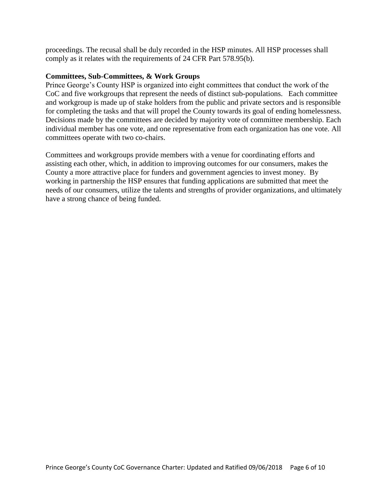proceedings. The recusal shall be duly recorded in the HSP minutes. All HSP processes shall comply as it relates with the requirements of 24 CFR Part 578.95(b).

#### **Committees, Sub-Committees, & Work Groups**

Prince George's County HSP is organized into eight committees that conduct the work of the CoC and five workgroups that represent the needs of distinct sub-populations. Each committee and workgroup is made up of stake holders from the public and private sectors and is responsible for completing the tasks and that will propel the County towards its goal of ending homelessness. Decisions made by the committees are decided by majority vote of committee membership. Each individual member has one vote, and one representative from each organization has one vote. All committees operate with two co-chairs.

Committees and workgroups provide members with a venue for coordinating efforts and assisting each other, which, in addition to improving outcomes for our consumers, makes the County a more attractive place for funders and government agencies to invest money. By working in partnership the HSP ensures that funding applications are submitted that meet the needs of our consumers, utilize the talents and strengths of provider organizations, and ultimately have a strong chance of being funded.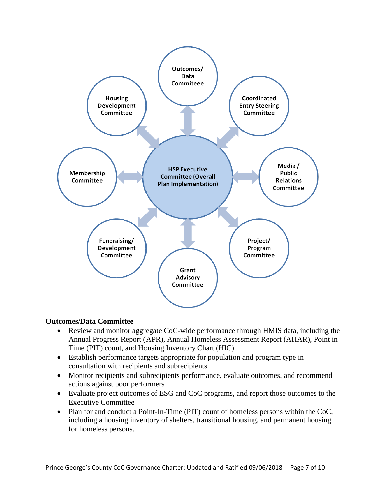

#### **Outcomes/Data Committee**

- Review and monitor aggregate CoC-wide performance through HMIS data, including the Annual Progress Report (APR), Annual Homeless Assessment Report (AHAR), Point in Time (PIT) count, and Housing Inventory Chart (HIC)
- Establish performance targets appropriate for population and program type in consultation with recipients and subrecipients
- Monitor recipients and subrecipients performance, evaluate outcomes, and recommend actions against poor performers
- Evaluate project outcomes of ESG and CoC programs, and report those outcomes to the Executive Committee
- Plan for and conduct a Point-In-Time (PIT) count of homeless persons within the CoC, including a housing inventory of shelters, transitional housing, and permanent housing for homeless persons.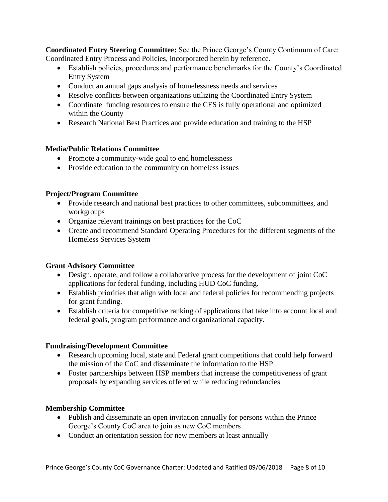**Coordinated Entry Steering Committee:** See the Prince George's County Continuum of Care: Coordinated Entry Process and Policies, incorporated herein by reference.

- Establish policies, procedures and performance benchmarks for the County's Coordinated Entry System
- Conduct an annual gaps analysis of homelessness needs and services
- Resolve conflicts between organizations utilizing the Coordinated Entry System
- Coordinate funding resources to ensure the CES is fully operational and optimized within the County
- Research National Best Practices and provide education and training to the HSP

# **Media/Public Relations Committee**

- Promote a community-wide goal to end homelessness
- Provide education to the community on homeless issues

# **Project/Program Committee**

- Provide research and national best practices to other committees, subcommittees, and workgroups
- Organize relevant trainings on best practices for the CoC
- Create and recommend Standard Operating Procedures for the different segments of the Homeless Services System

# **Grant Advisory Committee**

- Design, operate, and follow a collaborative process for the development of joint CoC applications for federal funding, including HUD CoC funding.
- Establish priorities that align with local and federal policies for recommending projects for grant funding.
- Establish criteria for competitive ranking of applications that take into account local and federal goals, program performance and organizational capacity.

# **Fundraising/Development Committee**

- Research upcoming local, state and Federal grant competitions that could help forward the mission of the CoC and disseminate the information to the HSP
- Foster partnerships between HSP members that increase the competitiveness of grant proposals by expanding services offered while reducing redundancies

# **Membership Committee**

- Publish and disseminate an open invitation annually for persons within the Prince George's County CoC area to join as new CoC members
- Conduct an orientation session for new members at least annually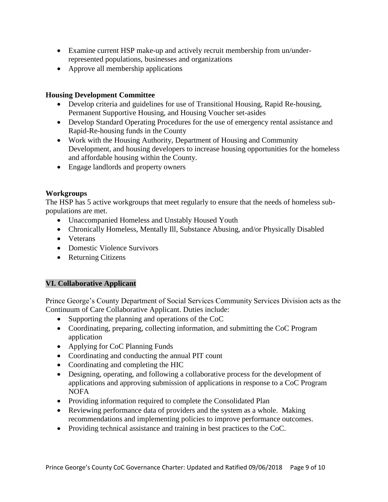- Examine current HSP make-up and actively recruit membership from un/underrepresented populations, businesses and organizations
- Approve all membership applications

#### **Housing Development Committee**

- Develop criteria and guidelines for use of Transitional Housing, Rapid Re-housing, Permanent Supportive Housing, and Housing Voucher set-asides
- Develop Standard Operating Procedures for the use of emergency rental assistance and Rapid-Re-housing funds in the County
- Work with the Housing Authority, Department of Housing and Community Development, and housing developers to increase housing opportunities for the homeless and affordable housing within the County.
- Engage landlords and property owners

### **Workgroups**

The HSP has 5 active workgroups that meet regularly to ensure that the needs of homeless subpopulations are met.

- Unaccompanied Homeless and Unstably Housed Youth
- Chronically Homeless, Mentally Ill, Substance Abusing, and/or Physically Disabled
- Veterans
- Domestic Violence Survivors
- Returning Citizens

# **VI. Collaborative Applicant**

Prince George's County Department of Social Services Community Services Division acts as the Continuum of Care Collaborative Applicant. Duties include:

- Supporting the planning and operations of the CoC
- Coordinating, preparing, collecting information, and submitting the CoC Program application
- Applying for CoC Planning Funds
- Coordinating and conducting the annual PIT count
- Coordinating and completing the HIC
- Designing, operating, and following a collaborative process for the development of applications and approving submission of applications in response to a CoC Program NOFA
- Providing information required to complete the Consolidated Plan
- Reviewing performance data of providers and the system as a whole. Making recommendations and implementing policies to improve performance outcomes.
- Providing technical assistance and training in best practices to the CoC.